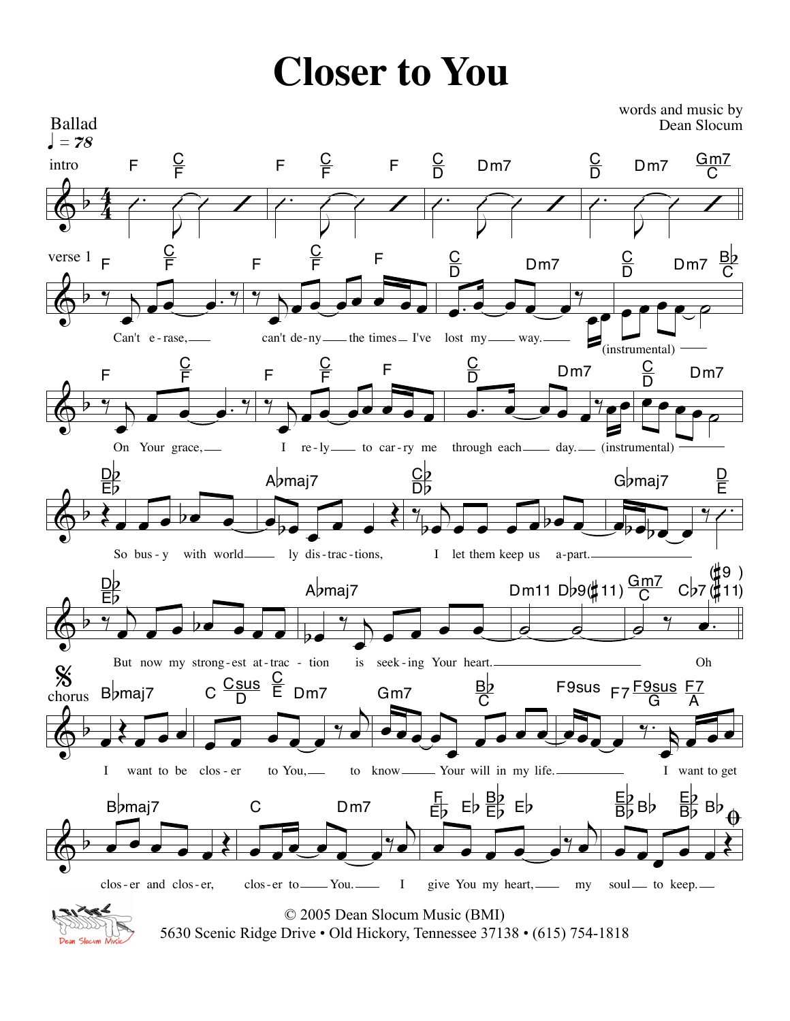## **Closer to You**

 $\oint 4$ 4 Ballad<br> $\int$  = 78 intro  $\sqrt{2}$  $\overline{V}$  $\overline{\mathcal{C}}$ F  $\frac{C}{F}$  $\begin{array}{c} \begin{array}{c} \hline \end{array} \end{array}$  $\sqrt{ }$ F  $\frac{C}{F}$  F  $\begin{array}{c} \begin{array}{c} \hline \end{array} \end{array}$  $\sqrt{ }$  $rac{C}{D}$  $D<sub>m7</sub>$  $\begin{array}{c} \begin{array}{c} \hline \end{array} \end{array}$  $\overline{\mathcal{C}}$  $\frac{C}{D}$  $D \text{m}$   $7 \frac{G \text{m}^2}{G}$ C  $\overline{\mathbb{Q}}^{\flat}$ verse 1  $\frac{2}{\sqrt{2}}$ œ œ œ œ. ‰ F <u>C</u> F Can't e - rase,  $\frac{9}{1}$ œ  $\overline{e}$ F  $\overline{\mathsf{C}}$ F F can't de-ny — the times — I've lost my — way. (instrumental)  $\overline{\mathbf{e} \cdot \mathbf{e} \cdot \mathbf{e}}$  $\overline{\mathbf{e}^{\bullet}}$ <u>C</u><br>D  $D<sub>m7</sub>$  $e^e$  $\bar{\mathsf{D}}$  $Dm7$ C  $\phi$  b  $\gamma$ œ  $\overline{\mathbf{e}^{\mathbf{e}^{\mathbf{e}^{\mathbf{e}^{\mathbf{e}^{\mathbf{e}^{\mathbf{e}^{\mathbf{e}^{\mathbf{e}^{\mathbf{e}^{\mathbf{e}^{\mathbf{e}^{\mathbf{e}^{\mathbf{e}^{\mathbf{e}^{\mathbf{e}^{\mathbf{e}^{\mathbf{e}^{\mathbf{e}^{\mathbf{e}^{\mathbf{e}^{\mathbf{e}^{\mathbf{e}^{\mathbf{e}^{\mathbf{e}^{\mathbf{e}^{\mathbf{e}^{\mathbf{e}^{\mathbf{e}^{\mathbf{e}^{\mathbf{e}^$ F  $\overline{\mathsf{C}}$ F On Your grace,  $^{\frac{9}{2}}$ œ  $\overline{e}$ F  $\overline{C}$ )<br>F 1 I re-ly to car-ry me through each day. (instrumental) œ. œ œ œ œ‰œœ C<br>D D<sub>m</sub>7  $\frac{c}{\sqrt{c}}$  $\frac{C}{D}$ D<sub>m7</sub>  $\phi$  b  $\epsilon$  . . . . . D<sub>b</sub> Eb So bus - y with world  $e_{bc}$  $\frac{1}{\sqrt{2}}$ <sup>A</sup>bmaj7 ly dis-trac-tions,  $\frac{2}{7}$  $b \bullet \bullet \bullet \bullet \bullet \bullet \bullet \bullet \bullet$  $\frac{c}{D}$ Db<br>Db I let them keep us a-part.  $e_{\text{pe}}$  $G$ *maj* $7$  $\frac{\mathsf{D}}{\mathsf{E}}$  $\left\langle \leftarrow$  b  $\frac{ep}{1}$  $\sum_{i=1}^{\infty}$ <u>pb</u> LIP<br>ED But now my strong-est at-trac - tion  $\overline{\phantom{0}}$  $\frac{2}{1}$  $\overline{a}$ <sup>A</sup>bmaj7 is seek-ing Your heart.  $\overline{\mathcal{O}}$   $\overline{\mathcal{O}}$ Dm11 D $b$ 9(#11) $\frac{GmZ}{C}$  C $b$ 7  $e$   $y$   $\cdot$ (#<sup>9</sup> )  $(\sharp 11)$ Oh  $\overline{\mathbb{Q}}^{\flat}$ .<br><sub>chorus</sub> B♭maj7 %  $\frac{1}{2}$ I want to be clos-er  $\overline{e}$   $\overline{e}$   $\overline{e}$   $\overline{e}$   $\overline{e}$   $\overline{e}$ œ C  $\frac{\textsf{Csus}}{\textsf{D}}$  $rac{C}{E}$ Dm7 to You,  $\mathbf{e}_{e}$ œ  $\overrightarrow{e}$ Gm7  $\frac{Bp}{C}$ C to know \_\_\_\_\_\_\_ Your will in my life.  $\mathcal{L}_{\mathcal{C}}$ œ  $\epsilon$  $F9sus F7 \frac{F9sus F7}{G}$ G A I want to get  $\phi$  b  $\bullet$   $\bullet$   $\bullet$   $\bullet$   $\bullet$ <sup>B</sup>bmaj7 clos- er and clos- er,  $\epsilon$ œ C Dm7 clos-er to You. 1  $\overrightarrow{e}$   $\overrightarrow{e}$   $\overrightarrow{e}$   $\overrightarrow{e}$   $\overrightarrow{e}$ œ F  $E_{\rm p}$   $E_{\rm p}$   $E_{\rm p}$   $E_{\rm p}$ give You my heart, my  $\frac{\Theta}{\Gamma}$  $\bullet$   $\bullet$  $\frac{1}{\sqrt{2}}$ Eb  $\frac{E}{B}$   $B$   $\frac{E}{B}$  $B\flat$ soul — to keep. Ballad words and music by Dean Slocum © 2005 Dean Slocum Music (BMI)



5630 Scenic Ridge Drive • Old Hickory, Tennessee 37138 • (615) 754-1818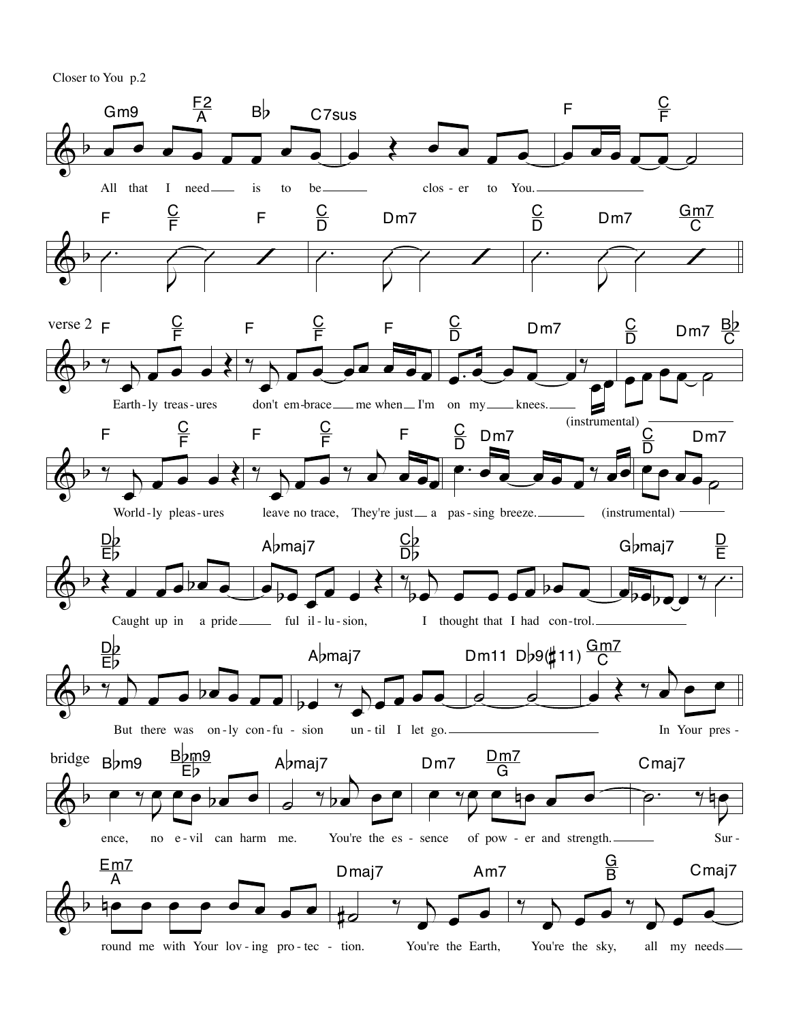Closer to You p.2